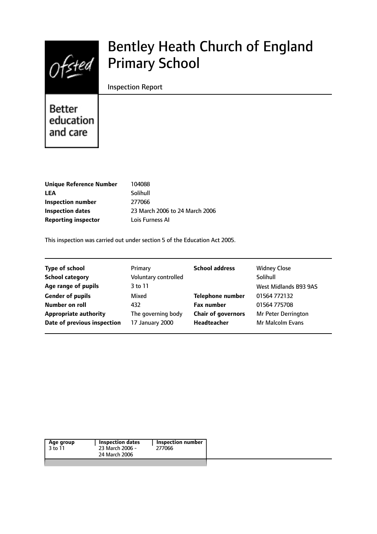$0$ fsted

# Bentley Heath Church of England Primary School

### Inspection Report

Better education and care

| 104088                         |
|--------------------------------|
| Solihull                       |
| 277066                         |
| 23 March 2006 to 24 March 2006 |
| Lois Furness AI                |
|                                |

This inspection was carried out under section 5 of the Education Act 2005.

| <b>Type of school</b>        | Primary              | <b>School address</b>     | <b>Widney Close</b>   |
|------------------------------|----------------------|---------------------------|-----------------------|
| <b>School category</b>       | Voluntary controlled |                           | Solihull              |
| Age range of pupils          | 3 to 11              |                           | West Midlands B93 9AS |
| <b>Gender of pupils</b>      | Mixed                | <b>Telephone number</b>   | 01564 772132          |
| Number on roll               | 432                  | <b>Fax number</b>         | 01564 775708          |
| <b>Appropriate authority</b> | The governing body   | <b>Chair of governors</b> | Mr Peter Derrington   |
| Date of previous inspection  | 17 January 2000      | Headteacher               | Mr Malcolm Evans      |
|                              |                      |                           |                       |

| Age group | Inspection dates | Inspection number |
|-----------|------------------|-------------------|
| 3 to 11   | 23 March 2006 -  | 277066            |
|           | 24 March 2006    |                   |
|           |                  |                   |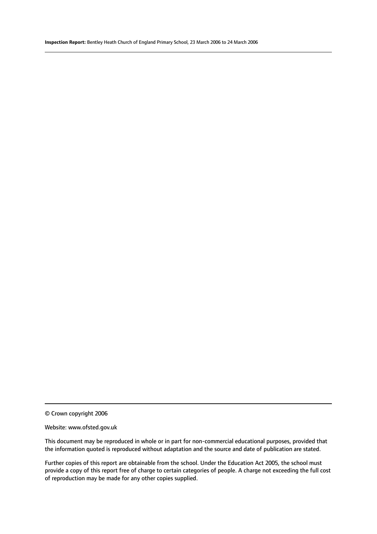© Crown copyright 2006

#### Website: www.ofsted.gov.uk

This document may be reproduced in whole or in part for non-commercial educational purposes, provided that the information quoted is reproduced without adaptation and the source and date of publication are stated.

Further copies of this report are obtainable from the school. Under the Education Act 2005, the school must provide a copy of this report free of charge to certain categories of people. A charge not exceeding the full cost of reproduction may be made for any other copies supplied.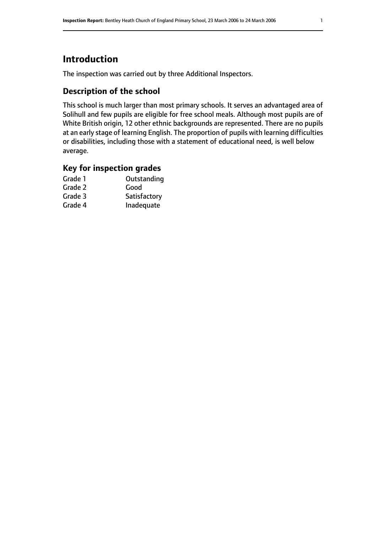# **Introduction**

The inspection was carried out by three Additional Inspectors.

# **Description of the school**

This school is much larger than most primary schools. It serves an advantaged area of Solihull and few pupils are eligible for free school meals. Although most pupils are of White British origin, 12 other ethnic backgrounds are represented. There are no pupils at an early stage of learning English. The proportion of pupils with learning difficulties or disabilities, including those with a statement of educational need, is well below average.

## **Key for inspection grades**

| Grade 1 | Outstanding  |
|---------|--------------|
| Grade 2 | Good         |
| Grade 3 | Satisfactory |
| Grade 4 | Inadequate   |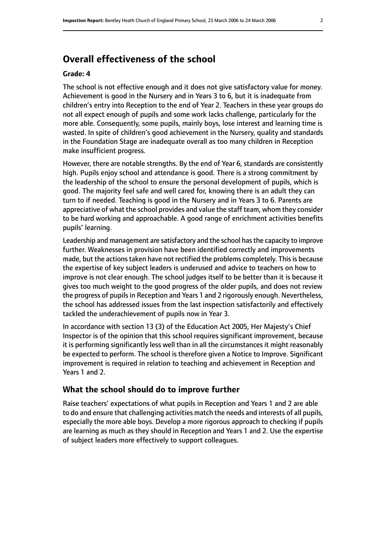# **Overall effectiveness of the school**

#### **Grade: 4**

The school is not effective enough and it does not give satisfactory value for money. Achievement is good in the Nursery and in Years 3 to 6, but it is inadequate from children's entry into Reception to the end of Year 2. Teachers in these year groups do not all expect enough of pupils and some work lacks challenge, particularly for the more able. Consequently, some pupils, mainly boys, lose interest and learning time is wasted. In spite of children's good achievement in the Nursery, quality and standards in the Foundation Stage are inadequate overall as too many children in Reception make insufficient progress.

However, there are notable strengths. By the end of Year 6, standards are consistently high. Pupils enjoy school and attendance is good. There is a strong commitment by the leadership of the school to ensure the personal development of pupils, which is good. The majority feel safe and well cared for, knowing there is an adult they can turn to if needed. Teaching is good in the Nursery and in Years 3 to 6. Parents are appreciative of what the school provides and value the staff team, whom they consider to be hard working and approachable. A good range of enrichment activities benefits pupils' learning.

Leadership and management are satisfactory and the school hasthe capacity to improve further. Weaknesses in provision have been identified correctly and improvements made, but the actions taken have not rectified the problems completely. This is because the expertise of key subject leaders is underused and advice to teachers on how to improve is not clear enough. The school judges itself to be better than it is because it gives too much weight to the good progress of the older pupils, and does not review the progress of pupils in Reception and Years 1 and 2 rigorously enough. Nevertheless, the school has addressed issues from the last inspection satisfactorily and effectively tackled the underachievement of pupils now in Year 3.

In accordance with section 13 (3) of the Education Act 2005, Her Majesty's Chief Inspector is of the opinion that this school requires significant improvement, because it is performing significantly less well than in all the circumstances it might reasonably be expected to perform. The school is therefore given a Notice to Improve. Significant improvement is required in relation to teaching and achievement in Reception and Years 1 and 2.

#### **What the school should do to improve further**

Raise teachers' expectations of what pupils in Reception and Years 1 and 2 are able to do and ensure that challenging activities match the needs and interests of all pupils, especially the more able boys. Develop a more rigorous approach to checking if pupils are learning as much as they should in Reception and Years 1 and 2. Use the expertise of subject leaders more effectively to support colleagues.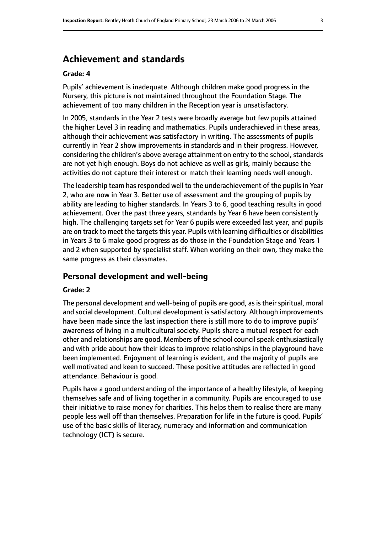# **Achievement and standards**

#### **Grade: 4**

Pupils' achievement is inadequate. Although children make good progress in the Nursery, this picture is not maintained throughout the Foundation Stage. The achievement of too many children in the Reception year is unsatisfactory.

In 2005, standards in the Year 2 tests were broadly average but few pupils attained the higher Level 3 in reading and mathematics. Pupils underachieved in these areas, although their achievement was satisfactory in writing. The assessments of pupils currently in Year 2 show improvements in standards and in their progress. However, considering the children's above average attainment on entry to the school, standards are not yet high enough. Boys do not achieve as well as girls, mainly because the activities do not capture their interest or match their learning needs well enough.

The leadership team has responded well to the underachievement of the pupils in Year 2, who are now in Year 3. Better use of assessment and the grouping of pupils by ability are leading to higher standards. In Years 3 to 6, good teaching results in good achievement. Over the past three years, standards by Year 6 have been consistently high. The challenging targets set for Year 6 pupils were exceeded last year, and pupils are on track to meet the targets this year. Pupils with learning difficulties or disabilities in Years 3 to 6 make good progress as do those in the Foundation Stage and Years 1 and 2 when supported by specialist staff. When working on their own, they make the same progress as their classmates.

#### **Personal development and well-being**

#### **Grade: 2**

The personal development and well-being of pupils are good, as is their spiritual, moral and social development. Cultural development is satisfactory. Although improvements have been made since the last inspection there is still more to do to improve pupils' awareness of living in a multicultural society. Pupils share a mutual respect for each other and relationships are good. Members of the school council speak enthusiastically and with pride about how their ideas to improve relationships in the playground have been implemented. Enjoyment of learning is evident, and the majority of pupils are well motivated and keen to succeed. These positive attitudes are reflected in good attendance. Behaviour is good.

Pupils have a good understanding of the importance of a healthy lifestyle, of keeping themselves safe and of living together in a community. Pupils are encouraged to use their initiative to raise money for charities. This helps them to realise there are many people less well off than themselves. Preparation for life in the future is good. Pupils' use of the basic skills of literacy, numeracy and information and communication technology (ICT) is secure.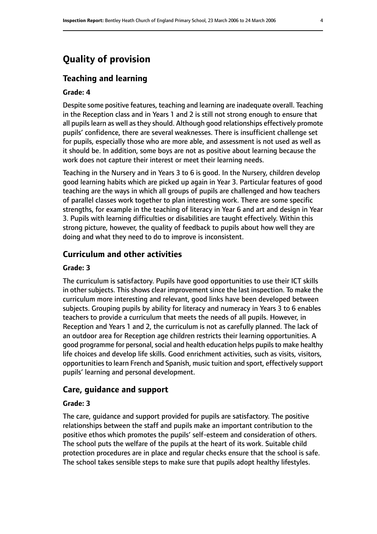# **Quality of provision**

#### **Teaching and learning**

#### **Grade: 4**

Despite some positive features, teaching and learning are inadequate overall. Teaching in the Reception class and in Years 1 and 2 is still not strong enough to ensure that all pupils learn as well as they should. Although good relationships effectively promote pupils' confidence, there are several weaknesses. There is insufficient challenge set for pupils, especially those who are more able, and assessment is not used as well as it should be. In addition, some boys are not as positive about learning because the work does not capture their interest or meet their learning needs.

Teaching in the Nursery and in Years 3 to 6 is good. In the Nursery, children develop good learning habits which are picked up again in Year 3. Particular features of good teaching are the ways in which all groups of pupils are challenged and how teachers of parallel classes work together to plan interesting work. There are some specific strengths, for example in the teaching of literacy in Year 6 and art and design in Year 3. Pupils with learning difficulties or disabilities are taught effectively. Within this strong picture, however, the quality of feedback to pupils about how well they are doing and what they need to do to improve is inconsistent.

#### **Curriculum and other activities**

#### **Grade: 3**

The curriculum is satisfactory. Pupils have good opportunities to use their ICT skills in other subjects. This shows clear improvement since the last inspection. To make the curriculum more interesting and relevant, good links have been developed between subjects. Grouping pupils by ability for literacy and numeracy in Years 3 to 6 enables teachers to provide a curriculum that meets the needs of all pupils. However, in Reception and Years 1 and 2, the curriculum is not as carefully planned. The lack of an outdoor area for Reception age children restricts their learning opportunities. A good programme for personal, social and health education helps pupils to make healthy life choices and develop life skills. Good enrichment activities, such as visits, visitors, opportunities to learn French and Spanish, music tuition and sport, effectively support pupils' learning and personal development.

#### **Care, guidance and support**

#### **Grade: 3**

The care, guidance and support provided for pupils are satisfactory. The positive relationships between the staff and pupils make an important contribution to the positive ethos which promotes the pupils' self-esteem and consideration of others. The school puts the welfare of the pupils at the heart of its work. Suitable child protection procedures are in place and regular checks ensure that the school is safe. The school takes sensible steps to make sure that pupils adopt healthy lifestyles.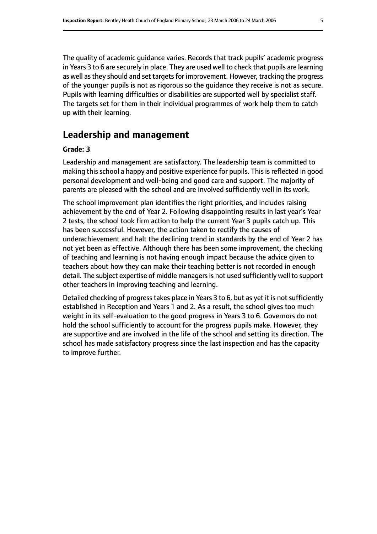The quality of academic guidance varies. Records that track pupils' academic progress in Years 3 to 6 are securely in place. They are used well to check that pupils are learning as well as they should and set targets for improvement. However, tracking the progress of the younger pupils is not as rigorous so the guidance they receive is not as secure. Pupils with learning difficulties or disabilities are supported well by specialist staff. The targets set for them in their individual programmes of work help them to catch up with their learning.

# **Leadership and management**

#### **Grade: 3**

Leadership and management are satisfactory. The leadership team is committed to making this school a happy and positive experience for pupils. This is reflected in good personal development and well-being and good care and support. The majority of parents are pleased with the school and are involved sufficiently well in its work.

The school improvement plan identifies the right priorities, and includes raising achievement by the end of Year 2. Following disappointing results in last year's Year 2 tests, the school took firm action to help the current Year 3 pupils catch up. This has been successful. However, the action taken to rectify the causes of underachievement and halt the declining trend in standards by the end of Year 2 has not yet been as effective. Although there has been some improvement, the checking of teaching and learning is not having enough impact because the advice given to teachers about how they can make their teaching better is not recorded in enough detail. The subject expertise of middle managers is not used sufficiently well to support other teachers in improving teaching and learning.

Detailed checking of progress takes place in Years 3 to 6, but as yet it is not sufficiently established in Reception and Years 1 and 2. As a result, the school gives too much weight in its self-evaluation to the good progress in Years 3 to 6. Governors do not hold the school sufficiently to account for the progress pupils make. However, they are supportive and are involved in the life of the school and setting its direction. The school has made satisfactory progress since the last inspection and has the capacity to improve further.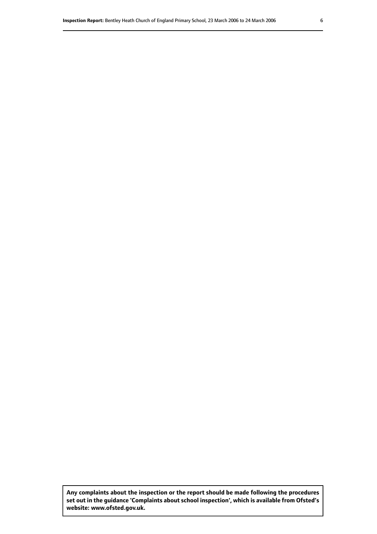**Any complaints about the inspection or the report should be made following the procedures set out inthe guidance 'Complaints about school inspection', whichis available from Ofsted's website: www.ofsted.gov.uk.**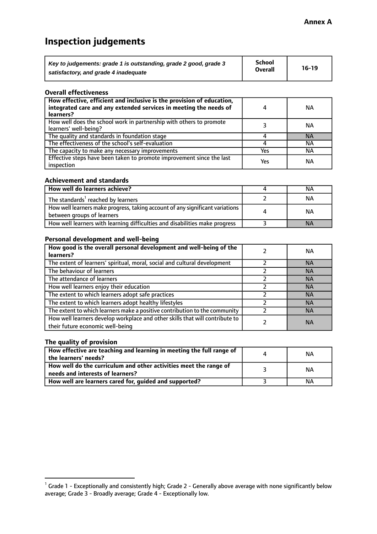# **Inspection judgements**

| Key to judgements: grade 1 is outstanding, grade 2 good, grade 3 | <b>School</b>  | $16-19$ |
|------------------------------------------------------------------|----------------|---------|
| satisfactory, and grade 4 inadequate                             | <b>Overall</b> |         |

#### **Overall effectiveness**

| How effective, efficient and inclusive is the provision of education,<br>integrated care and any extended services in meeting the needs of<br>learners? | 4   | <b>NA</b> |
|---------------------------------------------------------------------------------------------------------------------------------------------------------|-----|-----------|
| How well does the school work in partnership with others to promote<br>learners' well-being?                                                            |     | NА        |
| The quality and standards in foundation stage                                                                                                           |     | <b>NA</b> |
| The effectiveness of the school's self-evaluation                                                                                                       |     | ΝA        |
| The capacity to make any necessary improvements                                                                                                         | Yes | NА        |
| Effective steps have been taken to promote improvement since the last<br>inspection                                                                     | Yes | <b>NA</b> |

#### **Achievement and standards**

| How well do learners achieve?                                                                               | NА        |
|-------------------------------------------------------------------------------------------------------------|-----------|
| The standards <sup>1</sup> reached by learners                                                              | NА        |
| How well learners make progress, taking account of any significant variations<br>between groups of learners | <b>NA</b> |
| How well learners with learning difficulties and disabilities make progress                                 | <b>NA</b> |

#### **Personal development and well-being**

| How good is the overall personal development and well-being of the<br>learners?                                  | ΝA        |
|------------------------------------------------------------------------------------------------------------------|-----------|
| The extent of learners' spiritual, moral, social and cultural development                                        | <b>NA</b> |
| The behaviour of learners                                                                                        | <b>NA</b> |
| The attendance of learners                                                                                       | <b>NA</b> |
| How well learners enjoy their education                                                                          | <b>NA</b> |
| The extent to which learners adopt safe practices                                                                | <b>NA</b> |
| The extent to which learners adopt healthy lifestyles                                                            | <b>NA</b> |
| The extent to which learners make a positive contribution to the community                                       | <b>NA</b> |
| How well learners develop workplace and other skills that will contribute to<br>their future economic well-being | <b>NA</b> |

## **The quality of provision**

| How effective are teaching and learning in meeting the full range of<br>the learners' needs?          | ΝA |
|-------------------------------------------------------------------------------------------------------|----|
| How well do the curriculum and other activities meet the range of<br>needs and interests of learners? | ΝA |
| How well are learners cared for, guided and supported?                                                | NА |

 $^1$  Grade 1 - Exceptionally and consistently high; Grade 2 - Generally above average with none significantly below average; Grade 3 - Broadly average; Grade 4 - Exceptionally low.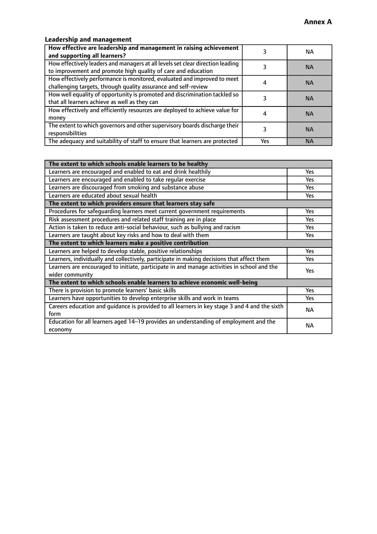# **Leadership and management**

| How effective are leadership and management in raising achievement<br>and supporting all learners?                                              |     | NA.       |
|-------------------------------------------------------------------------------------------------------------------------------------------------|-----|-----------|
| How effectively leaders and managers at all levels set clear direction leading<br>to improvement and promote high quality of care and education |     | <b>NA</b> |
| How effectively performance is monitored, evaluated and improved to meet<br>challenging targets, through quality assurance and self-review      |     | <b>NA</b> |
| How well equality of opportunity is promoted and discrimination tackled so<br>that all learners achieve as well as they can                     |     | <b>NA</b> |
| How effectively and efficiently resources are deployed to achieve value for<br>money                                                            |     | <b>NA</b> |
| The extent to which governors and other supervisory boards discharge their<br>responsibilities                                                  |     | <b>NA</b> |
| The adequacy and suitability of staff to ensure that learners are protected                                                                     | Yes | <b>NA</b> |

| The extent to which schools enable learners to be healthy                                     |            |  |
|-----------------------------------------------------------------------------------------------|------------|--|
| Learners are encouraged and enabled to eat and drink healthily                                | Yes        |  |
| Learners are encouraged and enabled to take regular exercise                                  | Yes        |  |
| Learners are discouraged from smoking and substance abuse                                     | <b>Yes</b> |  |
| Learners are educated about sexual health                                                     | <b>Yes</b> |  |
| The extent to which providers ensure that learners stay safe                                  |            |  |
| Procedures for safequarding learners meet current government requirements                     | Yes        |  |
| Risk assessment procedures and related staff training are in place                            | Yes        |  |
| Action is taken to reduce anti-social behaviour, such as bullying and racism                  | Yes        |  |
| Learners are taught about key risks and how to deal with them                                 | <b>Yes</b> |  |
| The extent to which learners make a positive contribution                                     |            |  |
| Learners are helped to develop stable, positive relationships                                 | Yes        |  |
| Learners, individually and collectively, participate in making decisions that affect them     | Yes        |  |
| Learners are encouraged to initiate, participate in and manage activities in school and the   | <b>Yes</b> |  |
| wider community                                                                               |            |  |
| The extent to which schools enable learners to achieve economic well-being                    |            |  |
| There is provision to promote learners' basic skills                                          | Yes        |  |
| Learners have opportunities to develop enterprise skills and work in teams                    | <b>Yes</b> |  |
| Careers education and guidance is provided to all learners in key stage 3 and 4 and the sixth | <b>NA</b>  |  |
| form                                                                                          |            |  |
| Education for all learners aged 14-19 provides an understanding of employment and the         | NА         |  |
| economy                                                                                       |            |  |